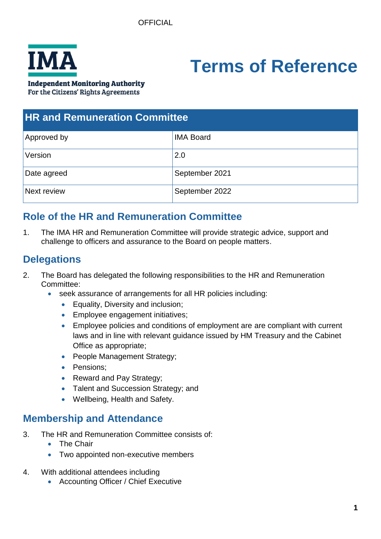

# **Terms of Reference**

**Independent Monitoring Authority** 

For the Citizens' Rights Agreements

| <b>HR and Remuneration Committee</b> |                  |
|--------------------------------------|------------------|
| Approved by                          | <b>IMA Board</b> |
| Version                              | 2.0              |
| Date agreed                          | September 2021   |
| Next review                          | September 2022   |

## **Role of the HR and Remuneration Committee**

1. The IMA HR and Remuneration Committee will provide strategic advice, support and challenge to officers and assurance to the Board on people matters.

## **Delegations**

- 2. The Board has delegated the following responsibilities to the HR and Remuneration Committee:
	- seek assurance of arrangements for all HR policies including:
		- Equality, Diversity and inclusion;
		- Employee engagement initiatives;
		- Employee policies and conditions of employment are are compliant with current laws and in line with relevant guidance issued by HM Treasury and the Cabinet Office as appropriate;
		- People Management Strategy;
		- Pensions;
		- Reward and Pay Strategy;
		- Talent and Succession Strategy; and
		- Wellbeing, Health and Safety.

## **Membership and Attendance**

- 3. The HR and Remuneration Committee consists of:
	- The Chair
	- Two appointed non-executive members
- 4. With additional attendees including
	- Accounting Officer / Chief Executive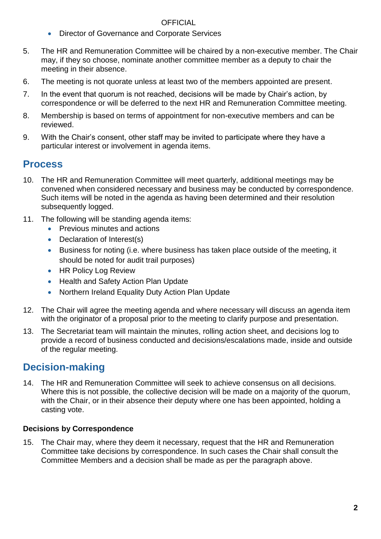#### OFFICIAL

- Director of Governance and Corporate Services
- 5. The HR and Remuneration Committee will be chaired by a non-executive member. The Chair may, if they so choose, nominate another committee member as a deputy to chair the meeting in their absence.
- 6. The meeting is not quorate unless at least two of the members appointed are present.
- 7. In the event that quorum is not reached, decisions will be made by Chair's action, by correspondence or will be deferred to the next HR and Remuneration Committee meeting.
- 8. Membership is based on terms of appointment for non-executive members and can be reviewed.
- 9. With the Chair's consent, other staff may be invited to participate where they have a particular interest or involvement in agenda items.

## **Process**

- 10. The HR and Remuneration Committee will meet quarterly, additional meetings may be convened when considered necessary and business may be conducted by correspondence. Such items will be noted in the agenda as having been determined and their resolution subsequently logged.
- 11. The following will be standing agenda items:
	- Previous minutes and actions
	- Declaration of Interest(s)
	- Business for noting (i.e. where business has taken place outside of the meeting, it should be noted for audit trail purposes)
	- HR Policy Log Review
	- Health and Safety Action Plan Update
	- Northern Ireland Equality Duty Action Plan Update
- 12. The Chair will agree the meeting agenda and where necessary will discuss an agenda item with the originator of a proposal prior to the meeting to clarify purpose and presentation.
- 13. The Secretariat team will maintain the minutes, rolling action sheet, and decisions log to provide a record of business conducted and decisions/escalations made, inside and outside of the regular meeting.

## **Decision-making**

14. The HR and Remuneration Committee will seek to achieve consensus on all decisions. Where this is not possible, the collective decision will be made on a majority of the quorum, with the Chair, or in their absence their deputy where one has been appointed, holding a casting vote.

#### **Decisions by Correspondence**

15. The Chair may, where they deem it necessary, request that the HR and Remuneration Committee take decisions by correspondence. In such cases the Chair shall consult the Committee Members and a decision shall be made as per the paragraph above.